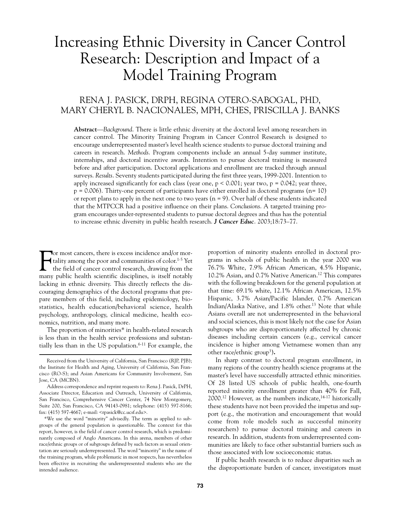# Increasing Ethnic Diversity in Cancer Control Research: Description and Impact of a Model Training Program

## RENA J. PASICK, DRPH, REGINA OTERO-SABOGAL, PHD, MARY CHERYL B. NACIONALES, MPH, CHES, PRISCILLA J. BANKS

**Abstract**—*Background*. There is little ethnic diversity at the doctoral level among researchers in cancer control. The Minority Training Program in Cancer Control Research is designed to encourage underrepresented master's level health science students to pursue doctoral training and careers in research. *Methods*. Program components include an annual 5-day summer institute, internships, and doctoral incentive awards. Intention to pursue doctoral training is measured before and after participation. Doctoral applications and enrollment are tracked through annual surveys. *Results*. Seventy students participated during the first three years, 1999-2001. Intention to apply increased significantly for each class (year one,  $p < 0.001$ ; year two,  $p = 0.042$ ; year three,  $p = 0.006$ ). Thirty-one percent of participants have either enrolled in doctoral programs (n= 10) or report plans to apply in the next one to two years  $(n = 9)$ . Over half of these students indicated that the MTPCCR had a positive influence on their plans. *Conclusions*. A targeted training program encourages under-represented students to pursue doctoral degrees and thus has the potential to increase ethnic diversity in public health research. *J Cancer Educ*. 2003;18:73–77.

For most cancers, there is excess incidence and/or mor-<br>tality among the poor and communities of color.<sup>1-5</sup> Yet<br>the field of cancer control research, drawing from the<br>many public health scientific disciplines, is itself n or most cancers, there is excess incidence and/or mortality among the poor and communities of color.<sup>1-5</sup> Yet the field of cancer control research, drawing from the lacking in ethnic diversity. This directly reflects the discouraging demographics of the doctoral programs that prepare members of this field, including epidemiology, biostatistics, health education/behavioral science, health psychology, anthropology, clinical medicine, health economics, nutrition, and many more.

The proportion of minorities\* in health-related research is less than in the health service professions and substantially less than in the US population. $6-11$  For example, the proportion of minority students enrolled in doctoral programs in schools of public health in the year 2000 was 76.7% White, 7.9% African American, 4.5% Hispanic, 10.2% Asian, and 0.7% Native American.12 This compares with the following breakdown for the general population at that time: 69.1% white, 12.1% African American, 12.5% Hispanic, 3.7% Asian/Pacific Islander, 0.7% American Indian/Alaska Native, and 1.8% other.13 Note that while Asians overall are not underrepresented in the behavioral and social sciences, this is most likely not the case for Asian subgroups who are disproportionately affected by chronic diseases including certain cancers (e.g., cervical cancer incidence is higher among Vietnamese women than any other race/ethnic group3 )**.**

In sharp contrast to doctoral program enrollment, in many regions of the country health science programs at the master's level have successfully attracted ethnic minorities. Of 28 listed US schools of public health, one-fourth reported minority enrollment greater than 40% for Fall, 2000.12 However, as the numbers indicate,14-17 historically these students have not been provided the impetus and support (e.g., the motivation and encouragement that would come from role models such as successful minority researchers) to pursue doctoral training and careers in research. In addition, students from underrepresented communities are likely to face other substantial barriers such as those associated with low socioeconomic status.

If public health research is to reduce disparities such as the disproportionate burden of cancer, investigators must

Received from the University of California, San Francisco (RJP, PJB); the Institute for Health and Aging, University of California, San Francisco (RO-S); and Asian Americans for Community Involvement, San Jose, CA (MCBN).

Address correspondence and reprint requests to: Rena J. Pasick, DrPH, Associate Director, Education and Outreach, University of California, San Francisco, Comprehensive Cancer Center, 74 New Montgomery, Suite 200, San Francisco, CA 94143-0981; telephone: (415) 597-8166; fax: (415) 597-4667; e-mail: <rpasick@cc.ucsf.edu>.

<sup>\*</sup>We use the word "minority" advisedly. The term as applied to subgroups of the general population is questionable. The context for this report, however, is the field of cancer control research, which is predominantly composed of Anglo Americans. In this arena, members of other race/ethnic groups or of subgroups defined by such factors as sexual orientation are seriously underrepresented. The word "minority" in the name of the training program, while problematic in most respects, has nevertheless been effective in recruiting the underrepresented students who are the intended audience.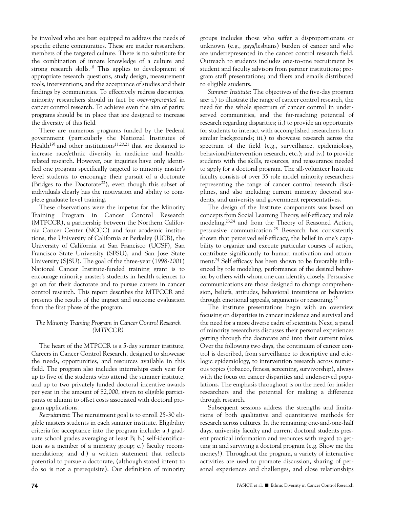be involved who are best equipped to address the needs of specific ethnic communities. These are insider researchers, members of the targeted culture. There is no substitute for the combination of innate knowledge of a culture and strong research skills.<sup>18</sup> This applies to development of appropriate research questions, study design, measurement tools, interventions, and the acceptance of studies and their findings by communities. To effectively redress disparities, minority researchers should in fact be *over-represented* in cancer control research. To achieve even the aim of parity, programs should be in place that are designed to increase the diversity of this field.

There are numerous programs funded by the Federal government (particularly the National Institutes of Health<sup>19)</sup> and other institutions<sup>11,20,21</sup> that are designed to increase race/ethnic diversity in medicine and healthrelated research. However, our inquiries have only identified one program specifically targeted to minority master's level students to encourage their pursuit of a doctorate (Bridges to the Doctorate<sup>22</sup>), even though this subset of individuals clearly has the motivation and ability to complete graduate level training.

These observations were the impetus for the Minority Training Program in Cancer Control Research (MTPCCR), a partnership between the Northern California Cancer Center (NCCC) and four academic institutions, the University of California at Berkeley (UCB), the University of California at San Francisco (UCSF), San Francisco State University (SFSU), and San Jose State University (SJSU). The goal of the three-year (1998-2001) National Cancer Institute-funded training grant is to encourage minority master's students in health sciences to go on for their doctorate and to pursue careers in cancer control research. This report describes the MTPCCR and presents the results of the impact and outcome evaluation from the first phase of the program.

### *The Minority Training Program in Cancer Control Research (MTPCCR)*

The heart of the MTPCCR is a 5-day summer institute, Careers in Cancer Control Research, designed to showcase the needs, opportunities, and resources available in this field. The program also includes internships each year for up to five of the students who attend the summer institute, and up to two privately funded doctoral incentive awards per year in the amount of \$2,000, given to eligible participants or alumni to offset costs associated with doctoral program applications.

*Recruitment*: The recruitment goal is to enroll 25-30 eligible masters students in each summer institute. Eligibility criteria for acceptance into the program include: a.) graduate school grades averaging at least B; b.) self-identification as a member of a minority group; c.) faculty recommendations; and d.) a written statement that reflects potential to pursue a doctorate, (although stated intent to do so is not a prerequisite). Our definition of minority

groups includes those who suffer a disproportionate or unknown (e.g., gays/lesbians) burden of cancer and who are underrepresented in the cancer control research field. Outreach to students includes one-to-one recruitment by student and faculty advisors from partner institutions; program staff presentations; and fliers and emails distributed to eligible students.

*Summer Institute*: The objectives of the five-day program are: i.) to illustrate the range of cancer control research, the need for the whole spectrum of cancer control in underserved communities, and the far-reaching potential of research regarding disparities; ii.) to provide an opportunity for students to interact with accomplished researchers from similar backgrounds; iii.) to showcase research across the spectrum of the field (e.g., surveillance, epidemiology, behavioral/intervention research, etc.); and iv.) to provide students with the skills, resources, and reassurance needed to apply for a doctoral program. The all-volunteer Institute faculty consists of over 35 role model minority researchers representing the range of cancer control research disciplines, and also including current minority doctoral students, and university and government representatives.

The design of the Institute components was based on concepts from Social Learning Theory, self-efficacy and role modeling,23,24 and from the Theory of Reasoned Action, persuasive communication.25 Research has consistently shown that perceived self-efficacy, the belief in one's capability to organize and execute particular courses of action, contribute significantly to human motivation and attainment.24 Self efficacy has been shown to be favorably influenced by role modeling, performance of the desired behavior by others with whom one can identify closely. Persuasive communications are those designed to change comprehension, beliefs, attitudes, behavioral intentions or behaviors through emotional appeals, arguments or reasoning.<sup>25</sup>

The institute presentations begin with an overview focusing on disparities in cancer incidence and survival and the need for a more diverse cadre of scientists. Next, a panel of minority researchers discusses their personal experiences getting through the doctorate and into their current roles. Over the following two days, the continuum of cancer control is described, from surveillance to descriptive and etiologic epidemiology, to intervention research across numerous topics (tobacco, fitness, screening, survivorship), always with the focus on cancer disparities and underserved populations. The emphasis throughout is on the need for insider researchers and the potential for making a difference through research.

Subsequent sessions address the strengths and limitations of both qualitative and quantitative methods for research across cultures. In the remaining one-and-one-half days, university faculty and current doctoral students present practical information and resources with regard to getting in and surviving a doctoral program (e.g. Show me the money!). Throughout the program, a variety of interactive activities are used to promote discussion, sharing of personal experiences and challenges, and close relationships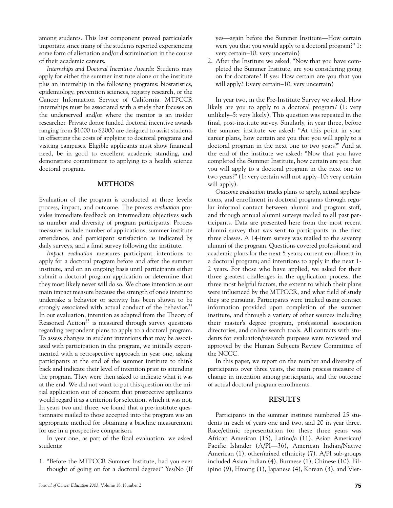among students. This last component proved particularly important since many of the students reported experiencing some form of alienation and/or discrimination in the course of their academic careers.

*Internships and Doctoral Incentive Awards*: Students may apply for either the summer institute alone or the institute plus an internship in the following programs: biostatistics, epidemiology, prevention sciences, registry research, or the Cancer Information Service of California. MTPCCR internships must be associated with a study that focuses on the underserved and/or where the mentor is an insider researcher. Private donor funded doctoral incentive awards ranging from \$1000 to \$2000 are designed to assist students in offsetting the costs of applying to doctoral programs and visiting campuses. Eligible applicants must show financial need, be in good to excellent academic standing, and demonstrate commitment to applying to a health science doctoral program.

#### **METHODS**

Evaluation of the program is conducted at three levels: process, impact, and outcome. The *process evaluation* provides immediate feedback on intermediate objectives such as number and diversity of program participants. Process measures include number of applications, summer institute attendance, and participant satisfaction as indicated by daily surveys, and a final survey following the institute.

*Impact evaluation* measures participant intentions to apply for a doctoral program before and after the summer institute, and on an ongoing basis until participants either submit a doctoral program application or determine that they most likely never will do so. We chose intention as our main impact measure because the strength of one's intent to undertake a behavior or activity has been shown to be strongly associated with actual conduct of the behavior.<sup>25</sup> In our evaluation, intention as adapted from the Theory of Reasoned Action<sup>25</sup> is measured through survey questions regarding respondent plans to apply to a doctoral program. To assess changes in student intentions that may be associated with participation in the program, we initially experimented with a retrospective approach in year one, asking participants at the end of the summer institute to think back and indicate their level of intention prior to attending the program. They were then asked to indicate what it was at the end. We did not want to put this question on the initial application out of concern that prospective applicants would regard it as a criterion for selection, which it was not. In years two and three, we found that a pre-institute questionnaire mailed to those accepted into the program was an appropriate method for obtaining a baseline measurement for use in a prospective comparison.

In year one, as part of the final evaluation, we asked students:

1. "Before the MTPCCR Summer Institute, had you ever thought of going on for a doctoral degree?" Yes/No (If yes—again before the Summer Institute—How certain were you that you would apply to a doctoral program?" 1: very certain–10: very uncertain)

2. After the Institute we asked, "Now that you have completed the Summer Institute, are you considering going on for doctorate? If yes: How certain are you that you will apply? 1:very certain–10: very uncertain)

In year two, in the Pre-Institute Survey we asked, How likely are you to apply to a doctoral program? (1: very unlikely–5: very likely). This question was repeated in the final, post-institute survey. Similarly, in year three, before the summer institute we asked: "At this point in your career plans, how certain are you that you will apply to a doctoral program in the next one to two years?" And at the end of the institute we asked: "Now that you have completed the Summer Institute, how certain are you that you will apply to a doctoral program in the next one to two years?" (1: very certain will not apply–10: very certain will apply).

*Outcome evaluation* tracks plans to apply, actual applications, and enrollment in doctoral programs through regular informal contact between alumni and program staff, and through annual alumni surveys mailed to all past participants. Data are presented here from the most recent alumni survey that was sent to participants in the first three classes. A 14-item survey was mailed to the seventy alumni of the program. Questions covered professional and academic plans for the next 5 years; current enrollment in a doctoral program; and intentions to apply in the next 1- 2 years. For those who have applied, we asked for their three greatest challenges in the application process, the three most helpful factors, the extent to which their plans were influenced by the MTPCCR, and what field of study they are pursuing. Participants were tracked using contact information provided upon completion of the summer institute, and through a variety of other sources including their master's degree program, professional association directories, and online search tools. All contacts with students for evaluation/research purposes were reviewed and approved by the Human Subjects Review Committee of the NCCC.

In this paper, we report on the number and diversity of participants over three years, the main process measure of change in intention among participants, and the outcome of actual doctoral program enrollments.

### **RESULTS**

Participants in the summer institute numbered 25 students in each of years one and two, and 20 in year three. Race/ethnic representation for these three years was African American (15), Latino/a (11), Asian American/ Pacific Islander (A/PI—36), American Indian/Native American (1), other/mixed ethnicity (7). A/PI sub-groups included Asian Indian (4), Burmese (1), Chinese (10), Filipino (9), Hmong (1), Japanese (4), Korean (3), and Viet-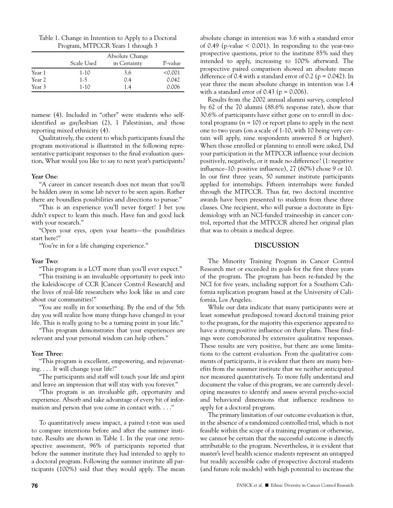| Table 1. Change in Intention to Apply to a Doctoral |
|-----------------------------------------------------|
| Program, MTPCCR Years 1 through 3                   |

|        | Scale Used | Absolute Change<br>in Certainty | P-value |
|--------|------------|---------------------------------|---------|
| Year 1 | 1-10       | 3.6                             | < 0.001 |
| Year 2 | $1-5$      | 0.4                             | 0.042   |
| Year 3 | $1-10$     | 1.4                             | 0.006   |

namese (4). Included in "other" were students who selfidentified as gay/lesbian (2), 1 Palestinian, and those reporting mixed ethnicity (4).

Qualitatively, the extent to which participants found the program motivational is illustrated in the following representative participant responses to the final evaluation question, What would you like to say to next year's participants?

#### **Year One**:

"A career in cancer research does not mean that you'll be hidden away in some lab never to be seen again. Rather there are boundless possibilities and directions to pursue."

"This is an experience you'll never forget! I bet you didn't expect to learn this much. Have fun and good luck with your research."

"Open your eyes, open your hearts—the possibilities start here!"

"You're in for a life changing experience."

#### **Year Two**:

"This program is a LOT more than you'll ever expect."

"This training is an invaluable opportunity to peek into the kaleidoscope of CCR [Cancer Control Research] and the lives of real-life researchers who look like us and care about our communities!"

"You are really in for something. By the end of the 5th day you will realize how many things have changed in your life. This is really going to be a turning point in your life."

"This program demonstrates that your experiences are relevant and your personal wisdom can help others."

#### **Year Three**:

"This program is excellent, empowering, and rejuvenating. . . . It will change your life!"

"The participants and staff will touch your life and spirit and leave an impression that will stay with you forever."

"This program is an invaluable gift, opportunity and experience. Absorb and take advantage of every bit of information and person that you come in contact with. . . ."

To quantitatively assess impact, a paired t-test was used to compare intentions before and after the summer institute. Results are shown in Table 1. In the year one retrospective assessment, 96% of participants reported that before the summer institute they had intended to apply to a doctoral program. Following the summer institute all participants (100%) said that they would apply. The mean absolute change in intention was 3.6 with a standard error of 0.49 (p-value < 0.001). In responding to the year-two prospective questions, prior to the institute 85% said they intended to apply, increasing to 100% afterward. The prospective paired comparison showed an absolute mean difference of 0.4 with a standard error of 0.2 ( $p = 0.042$ ). In year three the mean absolute change in intention was 1.4 with a standard error of  $0.43$  ( $p = 0.006$ ).

Results from the 2002 annual alumni survey, completed by 62 of the 70 alumni (88.6% response rate), show that 30.6% of participants have either gone on to enroll in doctoral programs ( $n = 10$ ) or report plans to apply in the next one to two years (on a scale of 1-10, with 10 being very certain will apply, nine respondents answered 8 or higher). When those enrolled or planning to enroll were asked, Did your participation in the MTPCCR influence your decision positively, negatively, or it made no difference? (1: negative influence–10: positive influence), 27 (60%) chose 9 or 10. In our first three years, 50 summer institute participants applied for internships. Fifteen internships were funded through the MTPCCR. Thus far, two doctoral incentive awards have been presented to students from these three classes. One recipient, who will pursue a doctorate in Epidemiology with an NCI-funded traineeship in cancer control, reported that the MTPCCR altered her original plan that was to obtain a medical degree.

#### **DISCUSSION**

The Minority Training Program in Cancer Control Research met or exceeded its goals for the first three years of the program. The program has been re-funded by the NCI for five years, including support for a Southern California replication program based at the University of California, Los Angeles.

While our data indicate that many participants were at least somewhat predisposed toward doctoral training prior to the program, for the majority this experience appeared to have a strong positive influence on their plans. These findings were corroborated by extensive qualitative responses. These results are very positive, but there are some limitations to the current evaluation. From the qualitative comments of participants, it is evident that there are many benefits from the summer institute that we neither anticipated nor measured quantitatively. To more fully understand and document the value of this program, we are currently developing measures to identify and assess several psycho-social and behavioral dimensions that influence readiness to apply for a doctoral program.

The primary limitation of our outcome evaluation is that, in the absence of a randomized controlled trial, which is not feasible within the scope of a training program or otherwise, we cannot be certain that the successful outcome is directly attributable to the program. Nevertheless, it is evident that master's level health science students represent an untapped but readily accessible cadre of prospective doctoral students (and future role models) with high potential to increase the